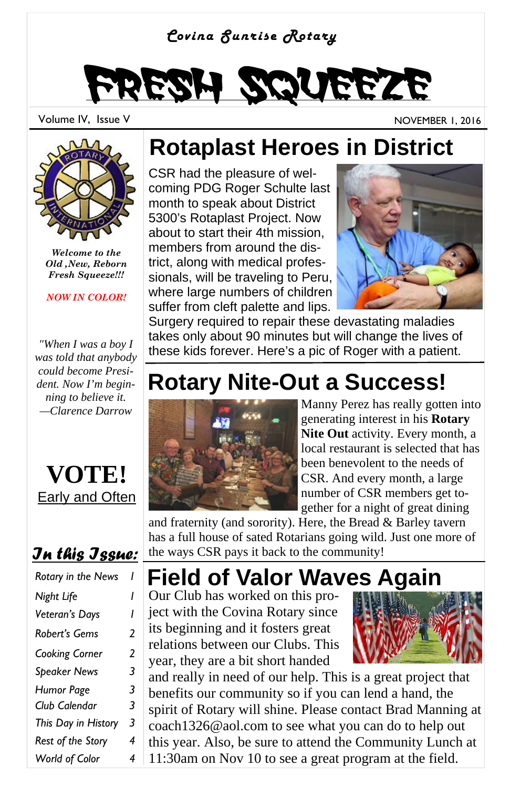### *Covina Sunrise Rotary*

# Fresh Squeeze

Volume IV, Issue V November 1, 2016



*Welcome to the Old ,New, Reborn Fresh Squeeze!!!* 

*NOW IN COLOR!*

*"When I was a boy I was told that anybody could become President. Now I'm beginning to believe it. —Clarence Darrow* 



### *In this Issue:*

| Rotary in the News  | ı |
|---------------------|---|
| Night Life          | ı |
| Veteran's Days      | ı |
| Robert's Gems       | 2 |
| Cooking Corner      | 2 |
| <b>Speaker News</b> | 3 |
| Humor Page          | 3 |
| Club Calendar       | 3 |
| This Day in History | 3 |
| Rest of the Story   | 4 |
| World of Color      | 4 |

## **Rotaplast Heroes in District**

CSR had the pleasure of welcoming PDG Roger Schulte last month to speak about District 5300's Rotaplast Project. Now about to start their 4th mission, members from around the district, along with medical professionals, will be traveling to Peru, where large numbers of children suffer from cleft palette and lips.



Surgery required to repair these devastating maladies takes only about 90 minutes but will change the lives of these kids forever. Here's a pic of Roger with a patient.

## **Rotary Nite-Out a Success!**



Manny Perez has really gotten into generating interest in his **Rotary Nite Out** activity. Every month, a local restaurant is selected that has been benevolent to the needs of CSR. And every month, a large number of CSR members get together for a night of great dining

and fraternity (and sorority). Here, the Bread & Barley tavern has a full house of sated Rotarians going wild. Just one more of the ways CSR pays it back to the community!

## **Field of Valor Waves Again**

Our Club has worked on this project with the Covina Rotary since its beginning and it fosters great relations between our Clubs. This year, they are a bit short handed



and really in need of our help. This is a great project that benefits our community so if you can lend a hand, the spirit of Rotary will shine. Please contact Brad Manning at coach1326@aol.com to see what you can do to help out this year. Also, be sure to attend the Community Lunch at 11:30am on Nov 10 to see a great program at the field.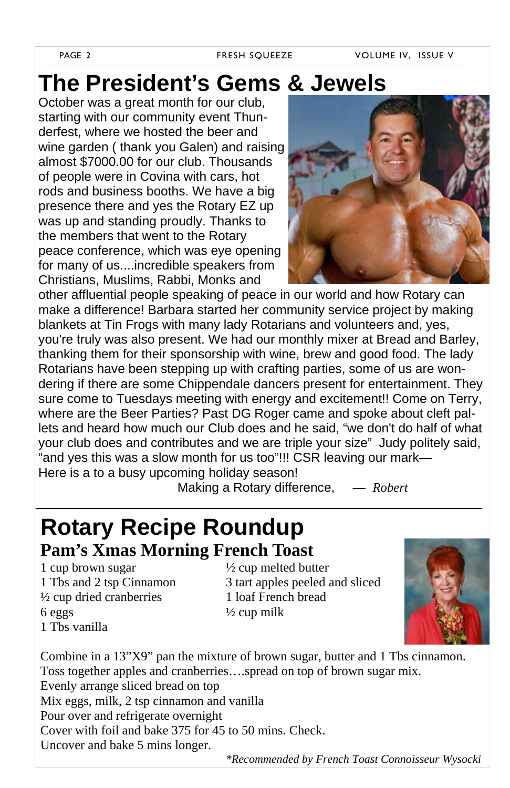## **The President's Gems & Jewels**

October was a great month for our club, starting with our community event Thunderfest, where we hosted the beer and wine garden ( thank you Galen) and raising almost \$7000.00 for our club. Thousands of people were in Covina with cars, hot rods and business booths. We have a big presence there and yes the Rotary EZ up was up and standing proudly. Thanks to the members that went to the Rotary peace conference, which was eye opening for many of us....incredible speakers from Christians, Muslims, Rabbi, Monks and



other affluential people speaking of peace in our world and how Rotary can make a difference! Barbara started her community service project by making blankets at Tin Frogs with many lady Rotarians and volunteers and, yes, you're truly was also present. We had our monthly mixer at Bread and Barley, thanking them for their sponsorship with wine, brew and good food. The lady Rotarians have been stepping up with crafting parties, some of us are wondering if there are some Chippendale dancers present for entertainment. They sure come to Tuesdays meeting with energy and excitement!! Come on Terry, where are the Beer Parties? Past DG Roger came and spoke about cleft pallets and heard how much our Club does and he said, "we don't do half of what your club does and contributes and we are triple your size" Judy politely said, "and yes this was a slow month for us too"!!! CSR leaving our mark— Here is a to a busy upcoming holiday season!

Making a Rotary difference, *— Robert*

### **Rotary Recipe Roundup Pam's Xmas Morning French Toast**

1 cup brown sugar  $\frac{1}{2}$  cup melted butter  $\frac{1}{2}$  cup dried cranberries 1 loaf French bread  $6 \text{ eggs}$   $\frac{1}{2} \text{cup milk}$ 1 Tbs vanilla

1 Tbs and 2 tsp Cinnamon 3 tart apples peeled and sliced



Combine in a 13"X9" pan the mixture of brown sugar, butter and 1 Tbs cinnamon. Toss together apples and cranberries….spread on top of brown sugar mix. Evenly arrange sliced bread on top Mix eggs, milk, 2 tsp cinnamon and vanilla Pour over and refrigerate overnight Cover with foil and bake 375 for 45 to 50 mins. Check. Uncover and bake 5 mins longer.

*\*Recommended by French Toast Connoisseur Wysocki*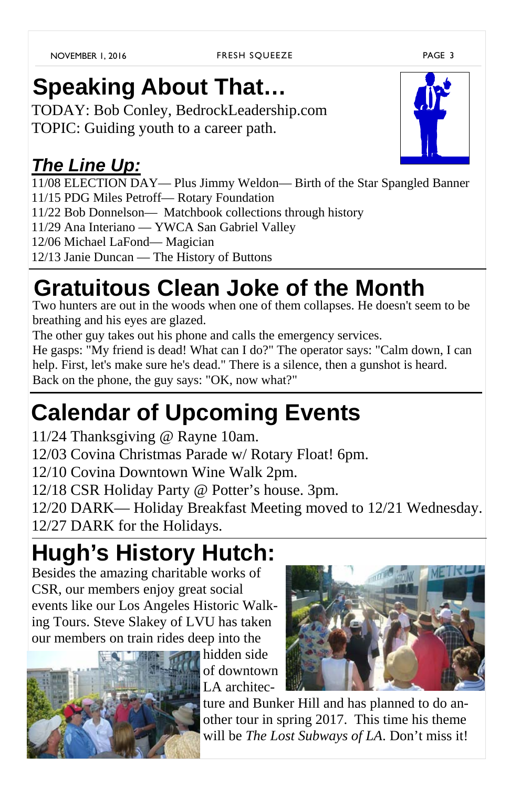#### FRESH SQUEEZE PAGE 3

## **Speaking About That…**

TODAY: Bob Conley, BedrockLeadership.com TOPIC: Guiding youth to a career path.

### *The Line Up:*

11/08 ELECTION DAY— Plus Jimmy Weldon— Birth of the Star Spangled Banner 11/15 PDG Miles Petroff— Rotary Foundation 11/22 Bob Donnelson— Matchbook collections through history 11/29 Ana Interiano — YWCA San Gabriel Valley 12/06 Michael LaFond— Magician 12/13 Janie Duncan — The History of Buttons

## **Gratuitous Clean Joke of the Month**

Two hunters are out in the woods when one of them collapses. He doesn't seem to be breathing and his eyes are glazed.

The other guy takes out his phone and calls the emergency services.

He gasps: "My friend is dead! What can I do?" The operator says: "Calm down, I can help. First, let's make sure he's dead." There is a silence, then a gunshot is heard. Back on the phone, the guy says: "OK, now what?"

## **Calendar of Upcoming Events**

11/24 Thanksgiving @ Rayne 10am.

12/03 Covina Christmas Parade w/ Rotary Float! 6pm.

12/10 Covina Downtown Wine Walk 2pm.

12/18 CSR Holiday Party @ Potter's house. 3pm.

12/20 DARK— Holiday Breakfast Meeting moved to 12/21 Wednesday. 12/27 DARK for the Holidays.

## **Hugh's History Hutch:**

Besides the amazing charitable works of CSR, our members enjoy great social events like our Los Angeles Historic Walking Tours. Steve Slakey of LVU has taken our members on train rides deep into the



hidden side of downtown LA architec-



ture and Bunker Hill and has planned to do another tour in spring 2017. This time his theme will be *The Lost Subways of LA*. Don't miss it!